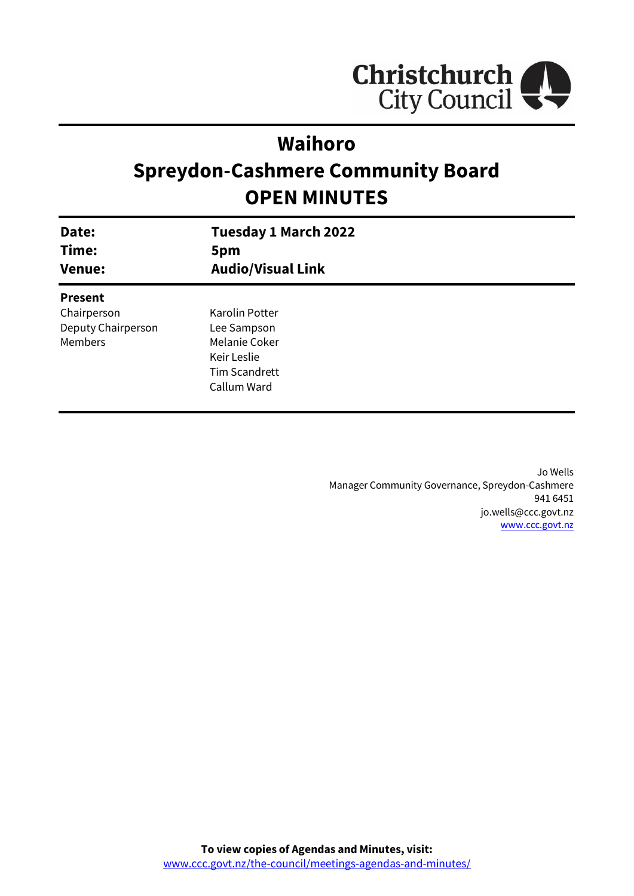

## **Waihoro**

# **Spreydon-Cashmere Community Board OPEN MINUTES**

| Date:<br>Time:<br><b>Venue:</b> | <b>Tuesday 1 March 2022</b><br>5pm<br><b>Audio/Visual Link</b> |
|---------------------------------|----------------------------------------------------------------|
| <b>Present</b>                  |                                                                |
| Chairperson                     | Karolin Potter                                                 |
| Deputy Chairperson              | Lee Sampson                                                    |
| Members                         | Melanie Coker                                                  |
|                                 | Keir Leslie                                                    |
|                                 | <b>Tim Scandrett</b>                                           |
|                                 | Callum Ward                                                    |
|                                 |                                                                |

Jo Wells Manager Community Governance, Spreydon-Cashmere 941 6451 jo.wells@ccc.govt.nz [www.ccc.govt.nz](http://www.ccc.govt.nz/)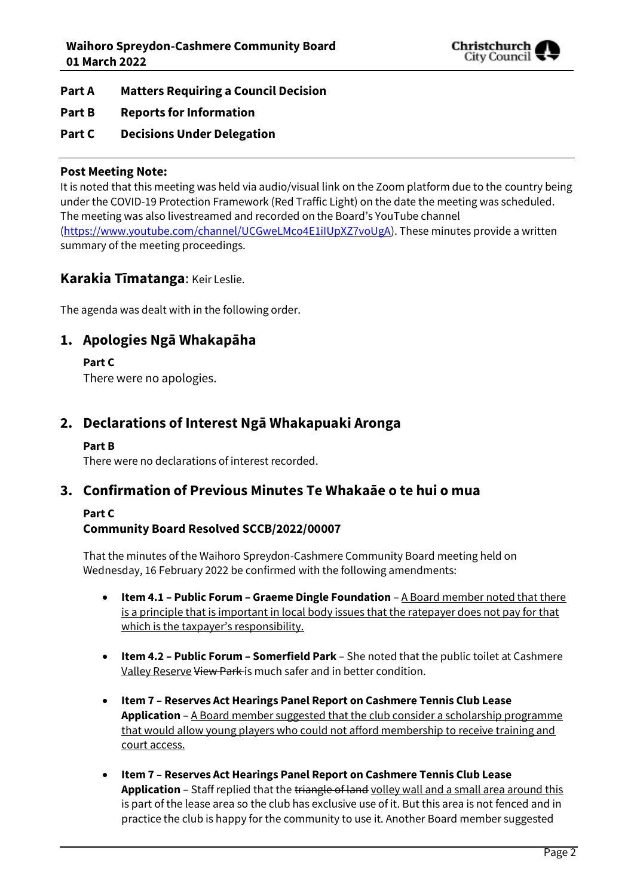

- **Part A Matters Requiring a Council Decision**
- **Part B Reports for Information**
- **Part C Decisions Under Delegation**

#### **Post Meeting Note:**

It is noted that this meeting was held via audio/visual link on the Zoom platform due to the country being under the COVID-19 Protection Framework (Red Traffic Light) on the date the meeting was scheduled. The meeting was also livestreamed and recorded on the Board's YouTube channel [\(https://www.youtube.com/channel/UCGweLMco4E1iIUpXZ7voUgA\)](https://www.youtube.com/channel/UCGweLMco4E1iIUpXZ7voUgA). These minutes provide a written summary of the meeting proceedings.

### **Karakia Tīmatanga**: Keir Leslie.

The agenda was dealt with in the following order.

### **1. Apologies Ngā Whakapāha**

**Part C** 

There were no apologies.

### **2. Declarations of Interest Ngā Whakapuaki Aronga**

#### **Part B**

There were no declarations of interest recorded.

### **3. Confirmation of Previous Minutes Te Whakaāe o te hui o mua**

#### **Part C**

### **Community Board Resolved SCCB/2022/00007**

That the minutes of the Waihoro Spreydon-Cashmere Community Board meeting held on Wednesday, 16 February 2022 be confirmed with the following amendments:

- **•** Item 4.1 Public Forum Graeme Dingle Foundation A Board member noted that there is a principle that is important in local body issues that the ratepayer does not pay for that which is the taxpayer's responsibility.
- **Item 4.2 – Public Forum – Somerfield Park** She noted that the public toilet at Cashmere Valley Reserve View Park is much safer and in better condition.
- **Item 7 – Reserves Act Hearings Panel Report on Cashmere Tennis Club Lease Application** – A Board member suggested that the club consider a scholarship programme that would allow young players who could not afford membership to receive training and court access.
- **Item 7 – Reserves Act Hearings Panel Report on Cashmere Tennis Club Lease**  Application - Staff replied that the triangle of land volley wall and a small area around this is part of the lease area so the club has exclusive use of it. But this area is not fenced and in practice the club is happy for the community to use it. Another Board member suggested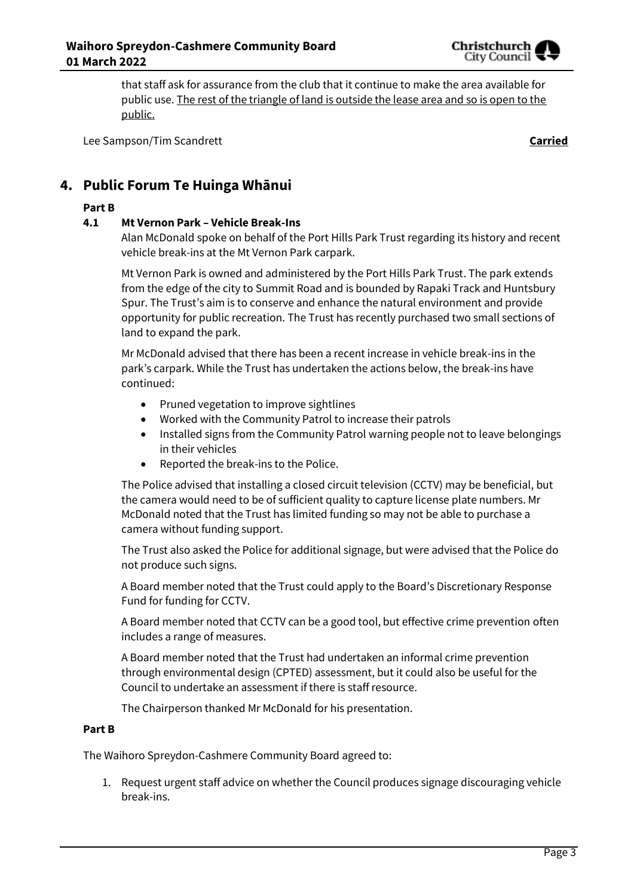

that staff ask for assurance from the club that it continue to make the area available for public use. The rest of the triangle of land is outside the lease area and so is open to the public.

Lee Sampson/Tim Scandrett **Carried**

### **4. Public Forum Te Huinga Whānui**

#### **Part B**

#### **4.1 Mt Vernon Park – Vehicle Break-Ins**

Alan McDonald spoke on behalf of the Port Hills Park Trust regarding its history and recent vehicle break-ins at the Mt Vernon Park carpark.

Mt Vernon Park is owned and administered by the Port Hills Park Trust. The park extends from the edge of the city to Summit Road and is bounded by Rapaki Track and Huntsbury Spur. The Trust's aim is to conserve and enhance the natural environment and provide opportunity for public recreation. The Trust has recently purchased two small sections of land to expand the park.

Mr McDonald advised that there has been a recent increase in vehicle break-ins in the park's carpark. While the Trust has undertaken the actions below, the break-ins have continued:

- Pruned vegetation to improve sightlines
- Worked with the Community Patrol to increase their patrols
- Installed signs from the Community Patrol warning people not to leave belongings in their vehicles
- Reported the break-ins to the Police.

The Police advised that installing a closed circuit television (CCTV) may be beneficial, but the camera would need to be of sufficient quality to capture license plate numbers. Mr McDonald noted that the Trust has limited funding so may not be able to purchase a camera without funding support.

The Trust also asked the Police for additional signage, but were advised that the Police do not produce such signs.

A Board member noted that the Trust could apply to the Board's Discretionary Response Fund for funding for CCTV.

A Board member noted that CCTV can be a good tool, but effective crime prevention often includes a range of measures.

A Board member noted that the Trust had undertaken an informal crime prevention through environmental design (CPTED) assessment, but it could also be useful for the Council to undertake an assessment if there is staff resource.

The Chairperson thanked Mr McDonald for his presentation.

#### **Part B**

The Waihoro Spreydon-Cashmere Community Board agreed to:

1. Request urgent staff advice on whether the Council produces signage discouraging vehicle break-ins.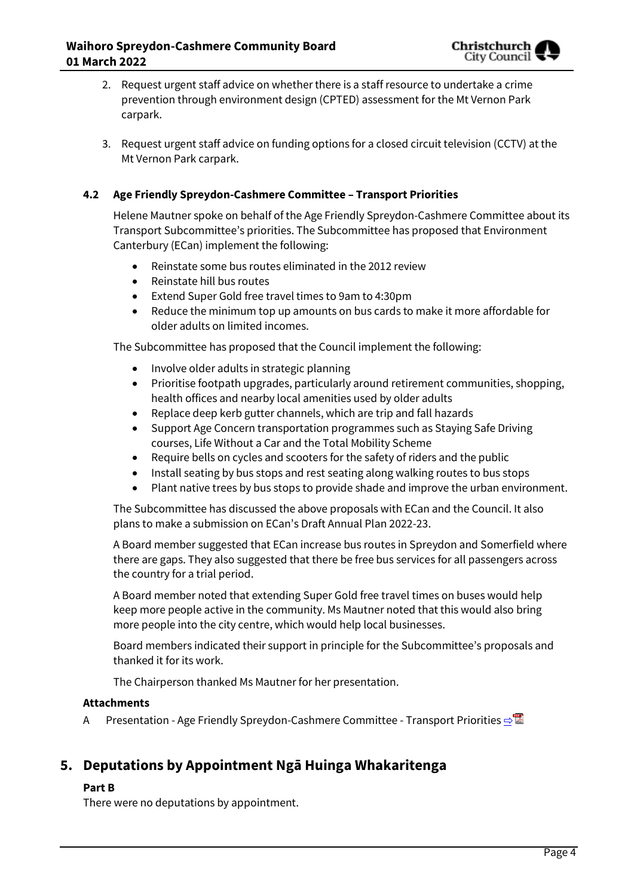- 2. Request urgent staff advice on whether there is a staff resource to undertake a crime prevention through environment design (CPTED) assessment for the Mt Vernon Park carpark.
- 3. Request urgent staff advice on funding options for a closed circuit television (CCTV) at the Mt Vernon Park carpark.

### **4.2 Age Friendly Spreydon-Cashmere Committee – Transport Priorities**

Helene Mautner spoke on behalf of the Age Friendly Spreydon-Cashmere Committee about its Transport Subcommittee's priorities. The Subcommittee has proposed that Environment Canterbury (ECan) implement the following:

- Reinstate some bus routes eliminated in the 2012 review
- Reinstate hill bus routes
- Extend Super Gold free travel times to 9am to 4:30pm
- Reduce the minimum top up amounts on bus cards to make it more affordable for older adults on limited incomes.

The Subcommittee has proposed that the Council implement the following:

- Involve older adults in strategic planning
- Prioritise footpath upgrades, particularly around retirement communities, shopping, health offices and nearby local amenities used by older adults
- Replace deep kerb gutter channels, which are trip and fall hazards
- Support Age Concern transportation programmes such as Staying Safe Driving courses, Life Without a Car and the Total Mobility Scheme
- Require bells on cycles and scooters for the safety of riders and the public
- Install seating by bus stops and rest seating along walking routes to bus stops
- Plant native trees by bus stops to provide shade and improve the urban environment.

The Subcommittee has discussed the above proposals with ECan and the Council. It also plans to make a submission on ECan's Draft Annual Plan 2022-23.

A Board member suggested that ECan increase bus routes in Spreydon and Somerfield where there are gaps. They also suggested that there be free bus services for all passengers across the country for a trial period.

A Board member noted that extending Super Gold free travel times on buses would help keep more people active in the community. Ms Mautner noted that this would also bring more people into the city centre, which would help local businesses.

Board members indicated their support in principle for the Subcommittee's proposals and thanked it for its work.

The Chairperson thanked Ms Mautner for her presentation.

#### **Attachments**

A Presentation - Age Friendly Spreydon-Cashmere Committee - Transport Priorities **·** 

### **5. Deputations by Appointment Ngā Huinga Whakaritenga**

#### **Part B**

There were no deputations by appointment.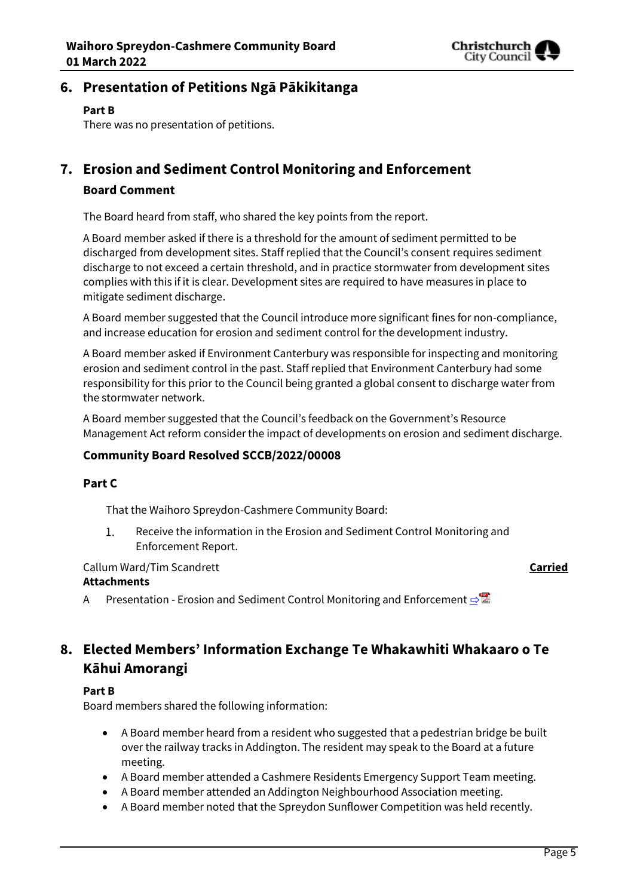

### **6. Presentation of Petitions Ngā Pākikitanga**

#### **Part B**

There was no presentation of petitions.

### **7. Erosion and Sediment Control Monitoring and Enforcement Board Comment**

The Board heard from staff, who shared the key points from the report.

A Board member asked if there is a threshold for the amount of sediment permitted to be discharged from development sites. Staff replied that the Council's consent requires sediment discharge to not exceed a certain threshold, and in practice stormwater from development sites complies with this if it is clear. Development sites are required to have measures in place to mitigate sediment discharge.

A Board member suggested that the Council introduce more significant fines for non-compliance, and increase education for erosion and sediment control for the development industry.

A Board member asked if Environment Canterbury was responsible for inspecting and monitoring erosion and sediment control in the past. Staff replied that Environment Canterbury had some responsibility for this prior to the Council being granted a global consent to discharge water from the stormwater network.

A Board member suggested that the Council's feedback on the Government's Resource Management Act reform consider the impact of developments on erosion and sediment discharge.

### **Community Board Resolved SCCB/2022/00008**

### **Part C**

That the Waihoro Spreydon-Cashmere Community Board:

 $\mathbf{1}$ . Receive the information in the Erosion and Sediment Control Monitoring and Enforcement Report.

### Callum Ward/Tim Scandrett **Carried**

### **Attachments**

A Presentation - Erosion and Sediment Control Monitoring and Enforcement [⇨](../../../RedirectToInvalidFileName.aspx?FileName=SCCB_20220301_MAT_7747.PDF#PAGE=6)

### **8. Elected Members' Information Exchange Te Whakawhiti Whakaaro o Te Kāhui Amorangi**

#### **Part B**

Board members shared the following information:

- A Board member heard from a resident who suggested that a pedestrian bridge be built over the railway tracks in Addington. The resident may speak to the Board at a future meeting.
- A Board member attended a Cashmere Residents Emergency Support Team meeting.
- A Board member attended an Addington Neighbourhood Association meeting.
- A Board member noted that the Spreydon Sunflower Competition was held recently.